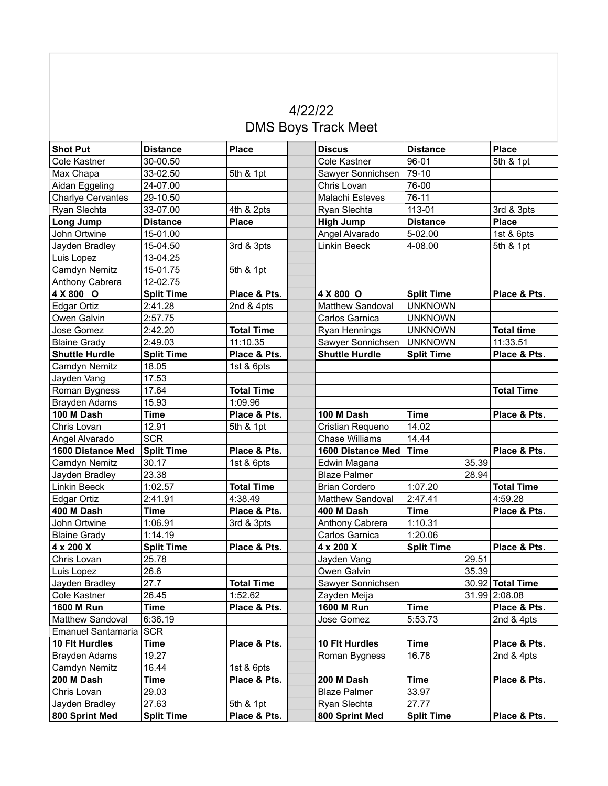## 4/22/22 **DMS Boys Track Meet**

| <b>Shot Put</b>          | <b>Distance</b>   | <b>Place</b>      | <b>Discus</b>         | <b>Distance</b>   | <b>Place</b>      |
|--------------------------|-------------------|-------------------|-----------------------|-------------------|-------------------|
| Cole Kastner             | 30-00.50          |                   | <b>Cole Kastner</b>   | 96-01             | 5th & 1pt         |
| Max Chapa                | 33-02.50          | 5th & 1pt         | Sawyer Sonnichsen     | 79-10             |                   |
| Aidan Eggeling           | 24-07.00          |                   | Chris Lovan           | 76-00             |                   |
| <b>Charlye Cervantes</b> | 29-10.50          |                   | Malachi Esteves       | 76-11             |                   |
| Ryan Slechta             | 33-07.00          | 4th & 2pts        | Ryan Slechta          | 113-01            | 3rd & 3pts        |
| Long Jump                | <b>Distance</b>   | <b>Place</b>      | <b>High Jump</b>      | <b>Distance</b>   | <b>Place</b>      |
| John Ortwine             | 15-01.00          |                   | Angel Alvarado        | 5-02.00           | 1st & 6pts        |
| Jayden Bradley           | 15-04.50          | 3rd & 3pts        | <b>Linkin Beeck</b>   | 4-08.00           | 5th & 1pt         |
| Luis Lopez               | 13-04.25          |                   |                       |                   |                   |
| Camdyn Nemitz            | 15-01.75          | 5th & 1pt         |                       |                   |                   |
| Anthony Cabrera          | 12-02.75          |                   |                       |                   |                   |
| 4 X 800 O                | <b>Split Time</b> | Place & Pts.      | 4 X 800 O             | <b>Split Time</b> | Place & Pts.      |
| Edgar Ortiz              | 2:41.28           | 2nd & 4pts        | Matthew Sandoval      | <b>UNKNOWN</b>    |                   |
| Owen Galvin              | 2:57.75           |                   | Carlos Garnica        | <b>UNKNOWN</b>    |                   |
| Jose Gomez               | 2:42.20           | <b>Total Time</b> | Ryan Hennings         | <b>UNKNOWN</b>    | <b>Total time</b> |
| <b>Blaine Grady</b>      | 2:49.03           | 11:10.35          | Sawyer Sonnichsen     | <b>UNKNOWN</b>    | 11:33.51          |
| <b>Shuttle Hurdle</b>    | <b>Split Time</b> | Place & Pts.      | <b>Shuttle Hurdle</b> | <b>Split Time</b> | Place & Pts.      |
| Camdyn Nemitz            | 18.05             | 1st & 6pts        |                       |                   |                   |
| Jayden Vang              | 17.53             |                   |                       |                   |                   |
| Roman Bygness            | 17.64             | <b>Total Time</b> |                       |                   | <b>Total Time</b> |
| <b>Brayden Adams</b>     | 15.93             | 1:09.96           |                       |                   |                   |
| 100 M Dash               | <b>Time</b>       | Place & Pts.      | 100 M Dash            | <b>Time</b>       | Place & Pts.      |
| Chris Lovan              | 12.91             | 5th & 1pt         | Cristian Requeno      | 14.02             |                   |
| Angel Alvarado           | <b>SCR</b>        |                   | <b>Chase Williams</b> | 14.44             |                   |
| 1600 Distance Med        | <b>Split Time</b> | Place & Pts.      | 1600 Distance Med     | <b>Time</b>       | Place & Pts.      |
| Camdyn Nemitz            | 30.17             | 1st & 6pts        | Edwin Magana          | 35.39             |                   |
| Jayden Bradley           | 23.38             |                   | <b>Blaze Palmer</b>   | 28.94             |                   |
| <b>Linkin Beeck</b>      | 1:02.57           | <b>Total Time</b> | <b>Brian Cordero</b>  | 1:07.20           | <b>Total Time</b> |
| <b>Edgar Ortiz</b>       | 2:41.91           | 4:38.49           | Matthew Sandoval      | 2:47.41           | 4:59.28           |
| 400 M Dash               | <b>Time</b>       | Place & Pts.      | 400 M Dash            | <b>Time</b>       | Place & Pts.      |
| John Ortwine             | 1:06.91           | 3rd & 3pts        | Anthony Cabrera       | 1:10.31           |                   |
| <b>Blaine Grady</b>      | 1:14.19           |                   | Carlos Garnica        | 1:20.06           |                   |
| 4 x 200 X                | <b>Split Time</b> | Place & Pts.      | 4 x 200 X             | <b>Split Time</b> | Place & Pts.      |
| Chris Lovan              | 25.78             |                   | Jayden Vang           | 29.51             |                   |
| Luis Lopez               | 26.6              |                   | Owen Galvin           | 35.39             |                   |
| Jayden Bradley           | 27.7              | <b>Total Time</b> | Sawyer Sonnichsen     |                   | 30.92 Total Time  |
| Cole Kastner             | 26.45             | 1:52.62           | Zayden Meija          |                   | 31.99 2:08.08     |
| 1600 M Run               | <b>Time</b>       | Place & Pts.      | <b>1600 M Run</b>     | <b>Time</b>       | Place & Pts.      |
| Matthew Sandoval         | 6:36.19           |                   | Jose Gomez            | 5:53.73           | 2nd & 4pts        |
| Emanuel Santamaria       | <b>SCR</b>        |                   |                       |                   |                   |
| 10 Flt Hurdles           | <b>Time</b>       | Place & Pts.      | 10 Flt Hurdles        | <b>Time</b>       | Place & Pts.      |
| <b>Brayden Adams</b>     | 19.27             |                   | Roman Bygness         | 16.78             | 2nd & 4pts        |
| Camdyn Nemitz            | 16.44             | 1st & 6pts        |                       |                   |                   |
| 200 M Dash               | <b>Time</b>       | Place & Pts.      | 200 M Dash            | <b>Time</b>       | Place & Pts.      |
| Chris Lovan              | 29.03             |                   | <b>Blaze Palmer</b>   | 33.97             |                   |
| Jayden Bradley           | 27.63             | 5th & 1pt         | Ryan Slechta          | 27.77             |                   |
| 800 Sprint Med           | <b>Split Time</b> | Place & Pts.      | 800 Sprint Med        | <b>Split Time</b> | Place & Pts.      |